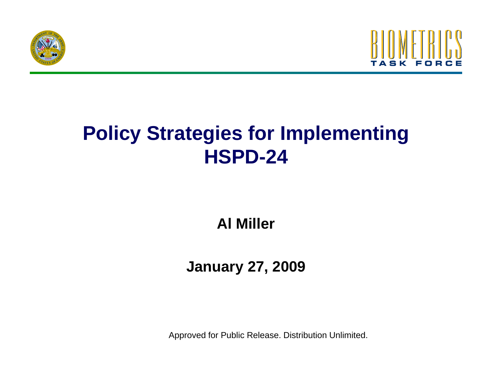



# **Policy Strategies for Implementing HSPD-24**

**Al Miller**

### **J 27 2009 January 27,**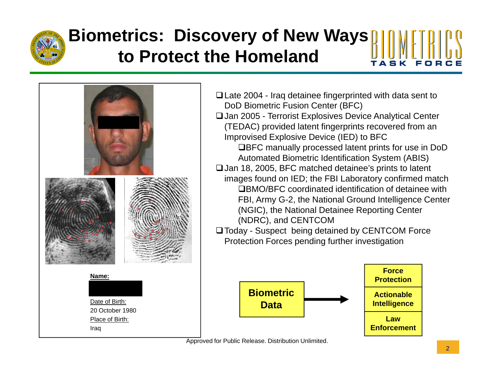

## **Biometrics: Discovery of New Ways to Protect the Homeland**



- Late 2004 Iraq detainee fingerprinted with data sent to DoD Biometric Fusion Center (BFC) Jan 2005 - Terrorist Explosives Device Analytical Center (TEDAC) provided latent fingerprints recovered from an Improvised Explosive Device (IED) to BFC ■BFC manually processed latent prints for use in DoD Automated Biometric Identification System (ABIS)  $\Box$  Jan 18, 2005, BFC matched detainee's prints to latent images found on IED; the FBI Laboratory confirmed match BMO/BFC coordinated identification of detainee with FBI, Army G-2, the National Ground Intelligence Center (NGIC), the National Detainee Reporting Center (NDRC), and CENTCOM
- Today Suspect being detained by CENTCOM Force Protection Forces pending further investigation

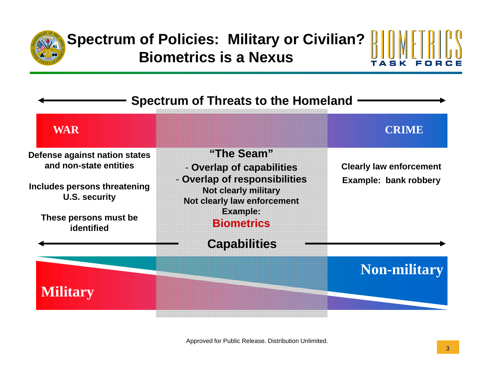

#### **Spectrum of Policies: Military or Civilian? Biometrics is a Nexus** T A S K

| <b>Spectrum of Threats to the Homeland</b>              |                                                                                             |                                |
|---------------------------------------------------------|---------------------------------------------------------------------------------------------|--------------------------------|
| <b>WAR</b>                                              |                                                                                             | <b>CRIME</b>                   |
| Defense against nation states<br>and non-state entities | "The Seam"<br>- Overlap of capabilities                                                     | <b>Clearly law enforcement</b> |
| Includes persons threatening<br><b>U.S. security</b>    | - Overlap of responsibilities<br><b>Not clearly military</b><br>Not clearly law enforcement | Example: bank robbery          |
| These persons must be<br>identified                     | <b>Example:</b><br><b>Biometrics</b>                                                        |                                |
|                                                         | <b>Capabilities</b>                                                                         |                                |
|                                                         |                                                                                             | <b>Non-military</b>            |
| <b>Military</b>                                         |                                                                                             |                                |
|                                                         |                                                                                             |                                |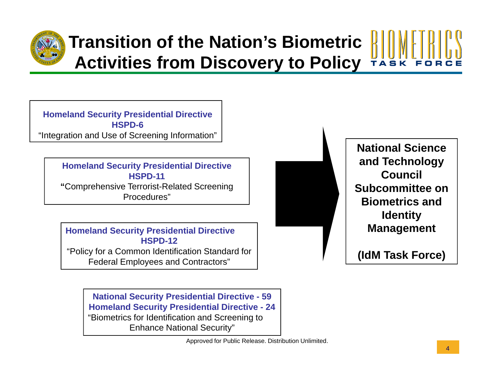

# **Transition of the Nation's Biometric Activities from Discover y to Polic y y**

**Homeland Securit y Presidential Directive HSPD-6**"Integration and Use of Screening Information"

> **Homeland Security Presidential Directive <b>Concernsive and Technology HSPD-11"**Comprehensive Terrorist-Related Screening Procedures"

**Homeland Security Presidential Directive HSPD-12**"Policy for a Common Identification Standard for Federal Employees and Contractors"



**National Science**  and **Technology Council Subcommittee on Biometrics and Identity Management**

**(IdM Task Force)** 

**National Security Presidential Directive - 59 Homeland Security Presidential Directive - 24** "Biometrics for Identification and Screening to Enhance National Security"